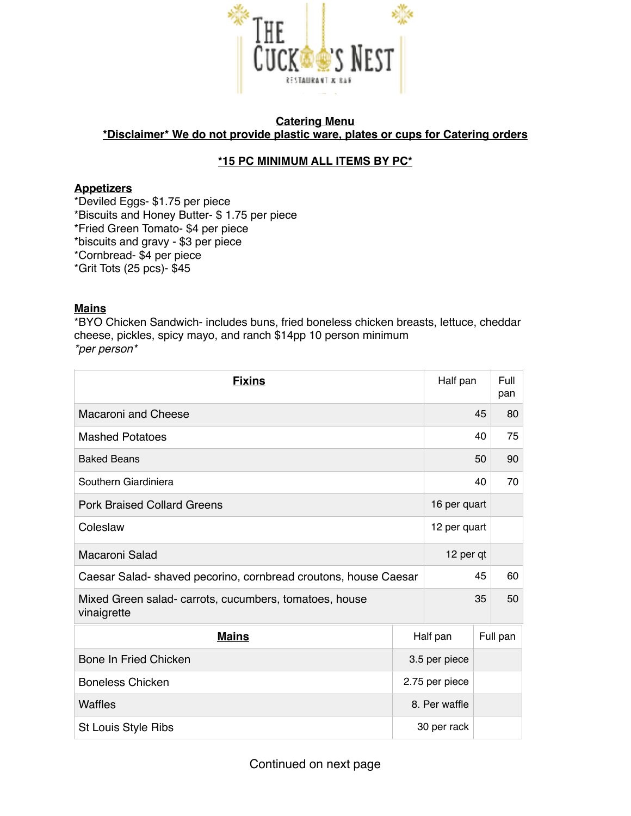

### **Catering Menu \*Disclaimer\* We do not provide plastic ware, plates or cups for Catering orders**

# **\*15 PC MINIMUM ALL ITEMS BY PC\***

### **Appetizers**

\*Deviled Eggs- \$1.75 per piece \*Biscuits and Honey Butter- \$ 1.75 per piece \*Fried Green Tomato- \$4 per piece \*biscuits and gravy - \$3 per piece \*Cornbread- \$4 per piece \*Grit Tots (25 pcs)- \$45

### **Mains**

\*BYO Chicken Sandwich- includes buns, fried boneless chicken breasts, lettuce, cheddar cheese, pickles, spicy mayo, and ranch \$14pp 10 person minimum *\*per person\**

| <b>Fixins</b>                                                         |                | Half pan     |          | Full<br>pan |
|-----------------------------------------------------------------------|----------------|--------------|----------|-------------|
| Macaroni and Cheese                                                   |                |              | 45       | 80          |
| <b>Mashed Potatoes</b>                                                |                |              | 40       | 75          |
| <b>Baked Beans</b>                                                    |                |              | 50       | 90          |
| Southern Giardiniera                                                  |                |              | 40       | 70          |
| <b>Pork Braised Collard Greens</b>                                    |                | 16 per quart |          |             |
| Coleslaw                                                              |                | 12 per quart |          |             |
| Macaroni Salad                                                        |                | 12 per qt    |          |             |
| Caesar Salad-shaved pecorino, cornbread croutons, house Caesar        |                |              | 45       |             |
| Mixed Green salad- carrots, cucumbers, tomatoes, house<br>vinaigrette |                |              | 35       |             |
| <b>Mains</b>                                                          | Half pan       |              | Full pan |             |
| Bone In Fried Chicken                                                 | 3.5 per piece  |              |          |             |
| <b>Boneless Chicken</b>                                               | 2.75 per piece |              |          |             |
| Waffles                                                               | 8. Per waffle  |              |          |             |
| St Louis Style Ribs                                                   | 30 per rack    |              |          |             |